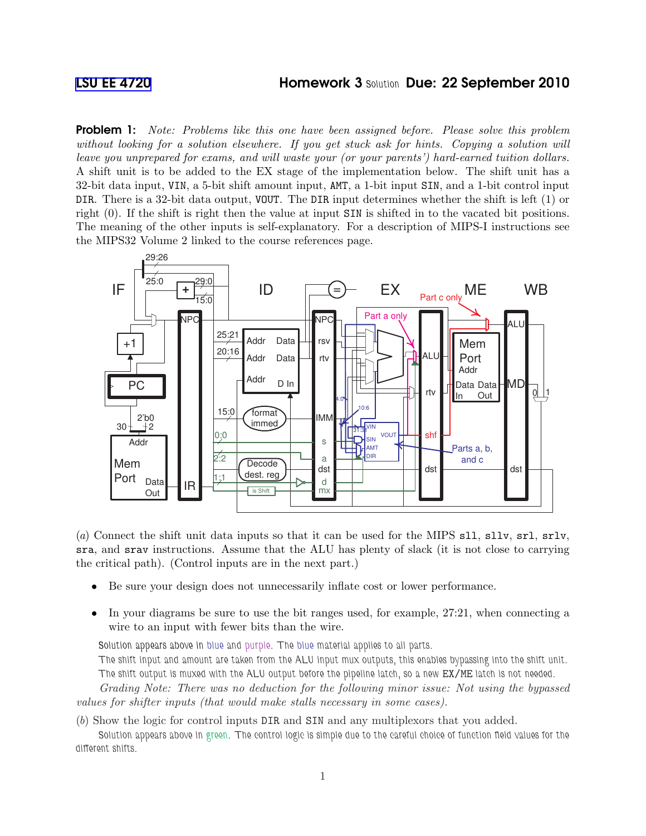## [LSU EE 4720](http://www.ece.lsu.edu/ee4720/) **Homework 3 Solution Due: 22 September 2010**

**Problem 1:** Note: Problems like this one have been assigned before. Please solve this problem without looking for a solution elsewhere. If you get stuck ask for hints. Copying a solution will leave you unprepared for exams, and will waste your (or your parents') hard-earned tuition dollars. A shift unit is to be added to the EX stage of the implementation below. The shift unit has a 32-bit data input, VIN, a 5-bit shift amount input, AMT, a 1-bit input SIN, and a 1-bit control input DIR. There is a 32-bit data output, VOUT. The DIR input determines whether the shift is left (1) or right (0). If the shift is right then the value at input SIN is shifted in to the vacated bit positions. The meaning of the other inputs is self-explanatory. For a description of MIPS-I instructions see the MIPS32 Volume 2 linked to the course references page.



(a) Connect the shift unit data inputs so that it can be used for the MIPS sll, sllv, srl, srlv, sra, and srav instructions. Assume that the ALU has plenty of slack (it is not close to carrying the critical path). (Control inputs are in the next part.)

- Be sure your design does not unnecessarily inflate cost or lower performance.
- In your diagrams be sure to use the bit ranges used, for example,  $27:21$ , when connecting a wire to an input with fewer bits than the wire.

Solution appears above in blue and purple. The blue material applies to all parts.

The shift input and amount are taken from the ALU input mux outputs, this enables bypassing into the shift unit. The shift output is muxed with the ALU output before the pipeline latch, so a new EX/ME latch is not needed.

Grading Note: There was no deduction for the following minor issue: Not using the bypassed values for shifter inputs (that would make stalls necessary in some cases).

(b) Show the logic for control inputs DIR and SIN and any multiplexors that you added.

Solution appears above in green. The control logic is simple due to the careful choice of function field values for the different shifts.